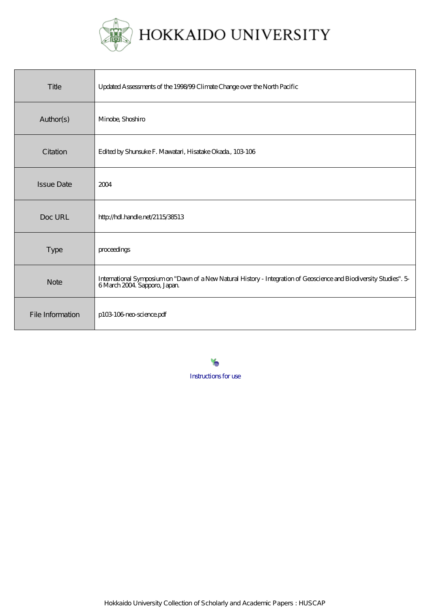

| Title             | Updated Assessments of the 1998-99 Climate Change over the North Pacific                                                                          |
|-------------------|---------------------------------------------------------------------------------------------------------------------------------------------------|
| Author(s)         | Minobe, Shoshiro                                                                                                                                  |
| Citation          | Edited by Shunsuke F. Mawatari, Hisatake Okada, 103 106                                                                                           |
| <b>Issue Date</b> | 2004                                                                                                                                              |
| Doc URL           | http://hdl.handle.net/2115/38513                                                                                                                  |
| <b>Type</b>       | proceedings                                                                                                                                       |
| <b>Note</b>       | International Symposium on "Dawn of a New Natural History - Integration of Geoscience and Biodiversity Studies". 5<br>6 March 2004 Sapporo, Japan |
| File Information  | p103-103-neo-science.pdf                                                                                                                          |

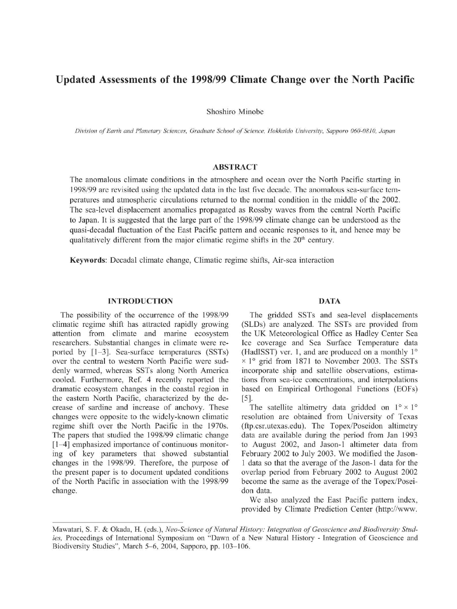# Updated Assessments of the 1998/99 Climate Change over the North Pacific

Shoshiro Minobe

Division of Earth and Planetary Sciences, Graduate School of Science, Hokkaido University, Sapporo 060-0810, Japan

# ABSTRACT

The anomalous climate conditions in the atmosphere and ocean over the North Pacific starting in 1998/99 are revisited using the updated data in the last five decade. The anomalous sea-surface temperatures and atmospheric circulations returned to the normal condition in the middle of the 2002. The sea-level displacement anomalies propagated as Rossby waves from the central North Pacific to Japan. It is suggested that the large part of the 1998/99 climate change can be understood as the quasi-decadal fluctuation of the East Pacific pattern and oceanic responses to it, and hence may be qualitatively different from the major climatic regime shifts in the  $20<sup>th</sup>$  century.

Keywords: Decadal climate change, Climatic regime shifts, Air-sea interaction

### INTRODUCTION

The possibility of the occurrence of the 1998/99 climatic regime shift has attracted rapidly growing attention from climate and marine ecosystem researchers. Substantial changes in climate were reported by [1-3]. Sea-surface temperatures (SSTs) over the central to western North Pacific were suddenly warmed, whereas SSTs along North America cooled. Furthermore, Ref. 4 recently reported the dramatic ecosystem changes in the coastal region in the eastern North Pacific, characterized by the decrease of sardine and increase of anchovy. These changes were opposite to the widely-known climatic regime shift over the North Pacific in the 1970s. The papers that studied the 1998/99 climatic change [1-4] emphasized importance of continuous monitoring of key parameters that showed substantial changes in the 1998/99. Therefore, the purpose of the present paper is to document updated conditions of the North Pacific in association with the 1998/99 change.

## DATA

The gridded SSTs and sea-level displacements (SLDs) are analyzed. The SSTs are provided from the UK Meteorological Office as Hadley Center Sea Ice coverage and Sea Surface Temperature data (HadISST) ver. 1, and are produced on a monthly 1°  $\times$  1° grid from 1871 to November 2003. The SSTs incorporate ship and satellite observations, estimations from sea-ice concentrations, and interpolations based on Empirical Orthogonal Functions (EOFs) [5].

The satellite altimetry data gridded on  $1^\circ \times 1^\circ$ resolution are obtained from University of Texas (ftp.csr.utexas.edu). The Topex/Poseidon altimetry data are available during the period from Jan 1993 to August 2002, and Jason-1 altimeter data from February 2002 to July 2003. We modified the Jason-1 data so that the average of the Jason-1 data for the overlap period from February 2002 to August 2002 become the same as the average of the Topex/Poseidon data.

We also analyzed the East Pacific pattern index, provided by Climate Prediction Center (http://www.

Mawatari, S. F. & Okada, H. (eds.), Neo-Science of Natural History: Integration of Geoscience and Biodiversity Studies, Proceedings of International Symposium on "Dawn of a New Natural History - Integration of Geoscience and Biodiversity Studies", March 5-6, 2004, Sapporo, pp. 103-106.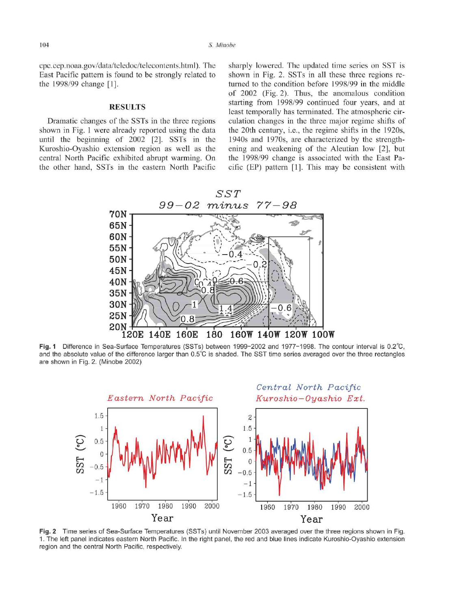cpc.cep.noaa.gov/data/teledoc/telecontents.html). The East Pacific pattern is found to be strongly related to the 1998/99 change [1].

#### **RESULTS**

Dramatic changes of the SSTs in the three regions shown in Fig. 1 were already reported using the data until the beginning of 2002 [2]. SSTs in the Kuroshio-Oyashio extension region as well as the central North Pacific exhibited abrupt warming. On the other hand, SSTs in the eastern North Pacific sharply lowered. The updated time series on SST is shown in Fig. 2. SSTs in all these three regions returned to the condition before 1998/99 in the middle of 2002 (Fig. 2). Thus, the anomalous condition starting from 1998/99 continued four years, and at least temporally has terminated. The atmospheric circulation changes in the three major regime shifts of the 20th century, i.e., the regime shifts in the 1920s, 1940s and 1970s, are characterized by the strengthening and weakening of the Aleutian low [2], but the 1998/99 change is associated with the East Pacific (EP) pattern [1]. This may be consistent with



Fig. 1 Difference in Sea-Surface Temperatures (SSTs) between 1999-2002 and 1977-1998. The contour interval is 0.2°C, and the absolute value of the difference larger than 0.5°C is shaded. The SST time series averaged over the three rectangles are shown in Fig. 2. (Minobe 2002)



Fig. 2 Time series of Sea-Surface Temperatures (SSTs) until November 2003 averaged over the three regions shown in Fig. 1. The left panel indicates eastern North Pacific. In the right panel, the red and blue lines indicate Kuroshio-Oyashio extension region and the central North Pacific, respectively.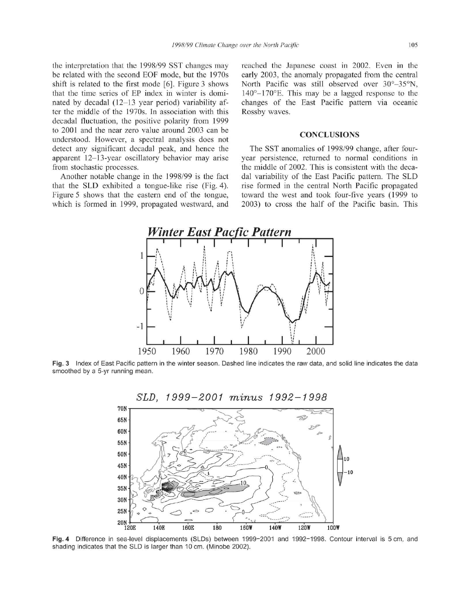the interpretation that the 1998/99 SST changes may be related with the second EOF mode, but the 1970s shift is related to the first mode [6]. Figure 3 shows that the time series of EP index in winter is dominated by decadal (12-13 year period) variability after the middle of the 1970s. In association with this decadal fluctuation, the positive polarity from 1999 to 2001 and the near zero value around 2003 can be understood. However, a spectral analysis does not detect any significant decadal peak, and hence the apparent 12-13-year oscillatory behavior may arise from stochastic processes.

Another notable change in the 1998/99 is the fact that the SLD exhibited a tongue-like rise (Fig. 4). Figure 5 shows that the eastern end of the tongue, which is formed in 1999, propagated westward, and

reached the Japanese coast in 2002. Even in the early 2003, the anomaly propagated from the central North Pacific was still observed over 30°-35°N, 140°-170°E. This may be a lagged response to the changes of the East Pacific pattern via oceanic Rossby waves.

#### **CONCLUSIONS**

The SST anomalies of 1998/99 change, after fouryear persistence, returned to normal conditions in the middle of 2002. This is consistent with the decadal variability of the East Pacific pattern. The SLD rise formed in the central North Pacific propagated toward the west and took four-five years (1999 to 2003) to cross the half of the Pacific basin. This



Fig. 3 Index of East Pacific pattern in the winter season. Dashed line indicates the raw data, and solid line indicates the data smoothed by a 5-yr running mean.



Fig. 4 Difference in sea-level displacements (SLDs) between 1999-2001 and 1992-1998. Contour interval is 5 cm, and shading indicates that the SLD is larger than 10 cm. (Minobe 2002).